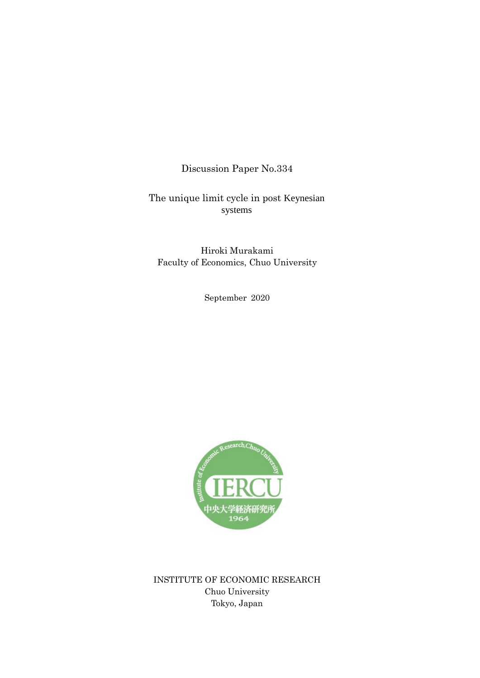Discussion Paper No.334

The unique limit cycle in post Keynesian systems

Hiroki Murakami Faculty of Economics, Chuo University

September 2020



INSTITUTE OF ECONOMIC RESEARCH Chuo University Tokyo, Japan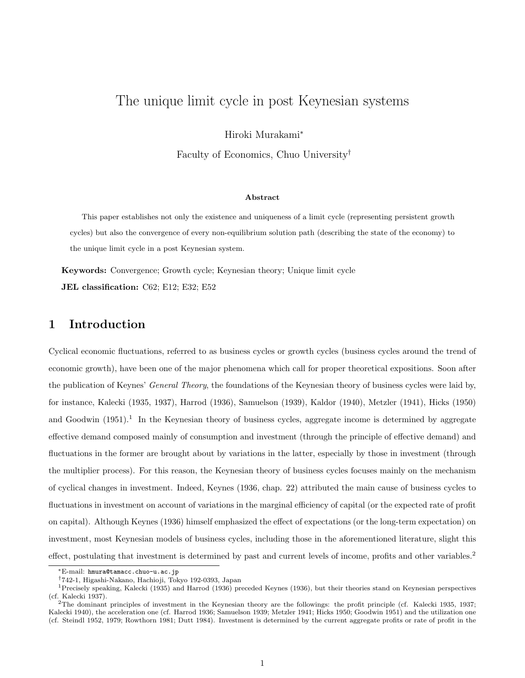# The unique limit cycle in post Keynesian systems

Hiroki Murakami<sup>∗</sup>

Faculty of Economics, Chuo University†

#### Abstract

This paper establishes not only the existence and uniqueness of a limit cycle (representing persistent growth cycles) but also the convergence of every non-equilibrium solution path (describing the state of the economy) to the unique limit cycle in a post Keynesian system.

Keywords: Convergence; Growth cycle; Keynesian theory; Unique limit cycle

JEL classification: C62; E12; E32; E52

### 1 Introduction

Cyclical economic fluctuations, referred to as business cycles or growth cycles (business cycles around the trend of economic growth), have been one of the major phenomena which call for proper theoretical expositions. Soon after the publication of Keynes' General Theory, the foundations of the Keynesian theory of business cycles were laid by, for instance, Kalecki (1935, 1937), Harrod (1936), Samuelson (1939), Kaldor (1940), Metzler (1941), Hicks (1950) and Goodwin  $(1951)^{1}$  In the Keynesian theory of business cycles, aggregate income is determined by aggregate effective demand composed mainly of consumption and investment (through the principle of effective demand) and fluctuations in the former are brought about by variations in the latter, especially by those in investment (through the multiplier process). For this reason, the Keynesian theory of business cycles focuses mainly on the mechanism of cyclical changes in investment. Indeed, Keynes (1936, chap. 22) attributed the main cause of business cycles to fluctuations in investment on account of variations in the marginal efficiency of capital (or the expected rate of profit on capital). Although Keynes (1936) himself emphasized the effect of expectations (or the long-term expectation) on investment, most Keynesian models of business cycles, including those in the aforementioned literature, slight this effect, postulating that investment is determined by past and current levels of income, profits and other variables.<sup>2</sup>

<sup>∗</sup>E-mail: hmura@tamacc.chuo-u.ac.jp

<sup>†</sup>742-1, Higashi-Nakano, Hachioji, Tokyo 192-0393, Japan

<sup>&</sup>lt;sup>1</sup>Precisely speaking, Kalecki (1935) and Harrod (1936) preceded Keynes (1936), but their theories stand on Keynesian perspectives (cf. Kalecki 1937).

<sup>2</sup>The dominant principles of investment in the Keynesian theory are the followings: the profit principle (cf. Kalecki 1935, 1937; Kalecki 1940), the acceleration one (cf. Harrod 1936; Samuelson 1939; Metzler 1941; Hicks 1950; Goodwin 1951) and the utilization one (cf. Steindl 1952, 1979; Rowthorn 1981; Dutt 1984). Investment is determined by the current aggregate profits or rate of profit in the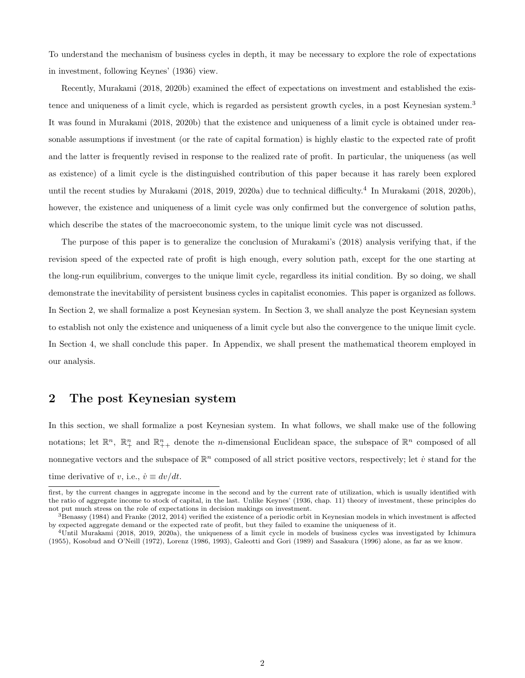To understand the mechanism of business cycles in depth, it may be necessary to explore the role of expectations in investment, following Keynes' (1936) view.

Recently, Murakami (2018, 2020b) examined the effect of expectations on investment and established the existence and uniqueness of a limit cycle, which is regarded as persistent growth cycles, in a post Keynesian system.<sup>3</sup> It was found in Murakami (2018, 2020b) that the existence and uniqueness of a limit cycle is obtained under reasonable assumptions if investment (or the rate of capital formation) is highly elastic to the expected rate of profit and the latter is frequently revised in response to the realized rate of profit. In particular, the uniqueness (as well as existence) of a limit cycle is the distinguished contribution of this paper because it has rarely been explored until the recent studies by Murakami (2018, 2019, 2020a) due to technical difficulty.<sup>4</sup> In Murakami (2018, 2020b), however, the existence and uniqueness of a limit cycle was only confirmed but the convergence of solution paths, which describe the states of the macroeconomic system, to the unique limit cycle was not discussed.

The purpose of this paper is to generalize the conclusion of Murakami's (2018) analysis verifying that, if the revision speed of the expected rate of profit is high enough, every solution path, except for the one starting at the long-run equilibrium, converges to the unique limit cycle, regardless its initial condition. By so doing, we shall demonstrate the inevitability of persistent business cycles in capitalist economies. This paper is organized as follows. In Section 2, we shall formalize a post Keynesian system. In Section 3, we shall analyze the post Keynesian system to establish not only the existence and uniqueness of a limit cycle but also the convergence to the unique limit cycle. In Section 4, we shall conclude this paper. In Appendix, we shall present the mathematical theorem employed in our analysis.

### 2 The post Keynesian system

In this section, we shall formalize a post Keynesian system. In what follows, we shall make use of the following notations; let  $\mathbb{R}^n$ ,  $\mathbb{R}^n_+$  and  $\mathbb{R}^n_{++}$  denote the *n*-dimensional Euclidean space, the subspace of  $\mathbb{R}^n$  composed of all nonnegative vectors and the subspace of  $\mathbb{R}^n$  composed of all strict positive vectors, respectively; let  $\dot{v}$  stand for the time derivative of v, i.e.,  $\dot{v} \equiv dv/dt$ .

first, by the current changes in aggregate income in the second and by the current rate of utilization, which is usually identified with the ratio of aggregate income to stock of capital, in the last. Unlike Keynes' (1936, chap. 11) theory of investment, these principles do not put much stress on the role of expectations in decision makings on investment.

<sup>3</sup>Benassy (1984) and Franke (2012, 2014) verified the existence of a periodic orbit in Keynesian models in which investment is affected by expected aggregate demand or the expected rate of profit, but they failed to examine the uniqueness of it.

<sup>4</sup>Until Murakami (2018, 2019, 2020a), the uniqueness of a limit cycle in models of business cycles was investigated by Ichimura (1955), Kosobud and O'Neill (1972), Lorenz (1986, 1993), Galeotti and Gori (1989) and Sasakura (1996) alone, as far as we know.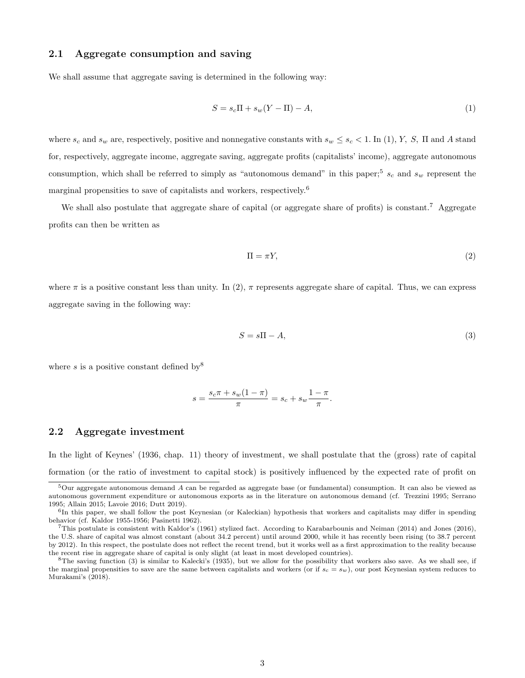### 2.1 Aggregate consumption and saving

We shall assume that aggregate saving is determined in the following way:

$$
S = s_c \Pi + s_w (Y - \Pi) - A,\tag{1}
$$

where  $s_c$  and  $s_w$  are, respectively, positive and nonnegative constants with  $s_w \leq s_c < 1$ . In (1), Y, S, II and A stand for, respectively, aggregate income, aggregate saving, aggregate profits (capitalists' income), aggregate autonomous consumption, which shall be referred to simply as "autonomous demand" in this paper;<sup>5</sup>  $s_c$  and  $s_w$  represent the marginal propensities to save of capitalists and workers, respectively.<sup>6</sup>

We shall also postulate that aggregate share of capital (or aggregate share of profits) is constant.<sup>7</sup> Aggregate profits can then be written as

$$
\Pi = \pi Y,\tag{2}
$$

where  $\pi$  is a positive constant less than unity. In (2),  $\pi$  represents aggregate share of capital. Thus, we can express aggregate saving in the following way:

$$
S = s\Pi - A,\tag{3}
$$

where s is a positive constant defined by  $8$ 

$$
s = \frac{s_c \pi + s_w (1 - \pi)}{\pi} = s_c + s_w \frac{1 - \pi}{\pi}.
$$

#### 2.2 Aggregate investment

In the light of Keynes' (1936, chap. 11) theory of investment, we shall postulate that the (gross) rate of capital formation (or the ratio of investment to capital stock) is positively influenced by the expected rate of profit on

<sup>5</sup>Our aggregate autonomous demand A can be regarded as aggregate base (or fundamental) consumption. It can also be viewed as autonomous government expenditure or autonomous exports as in the literature on autonomous demand (cf. Trezzini 1995; Serrano 1995; Allain 2015; Lavoie 2016; Dutt 2019).

<sup>&</sup>lt;sup>6</sup>In this paper, we shall follow the post Keynesian (or Kaleckian) hypothesis that workers and capitalists may differ in spending behavior (cf. Kaldor 1955-1956; Pasinetti 1962).

<sup>7</sup>This postulate is consistent with Kaldor's (1961) stylized fact. According to Karabarbounis and Neiman (2014) and Jones (2016), the U.S. share of capital was almost constant (about 34.2 percent) until around 2000, while it has recently been rising (to 38.7 percent by 2012). In this respect, the postulate does not reflect the recent trend, but it works well as a first approximation to the reality because the recent rise in aggregate share of capital is only slight (at least in most developed countries).

<sup>8</sup>The saving function (3) is similar to Kalecki's (1935), but we allow for the possibility that workers also save. As we shall see, if the marginal propensities to save are the same between capitalists and workers (or if  $s_c = s_w$ ), our post Keynesian system reduces to Murakami's (2018).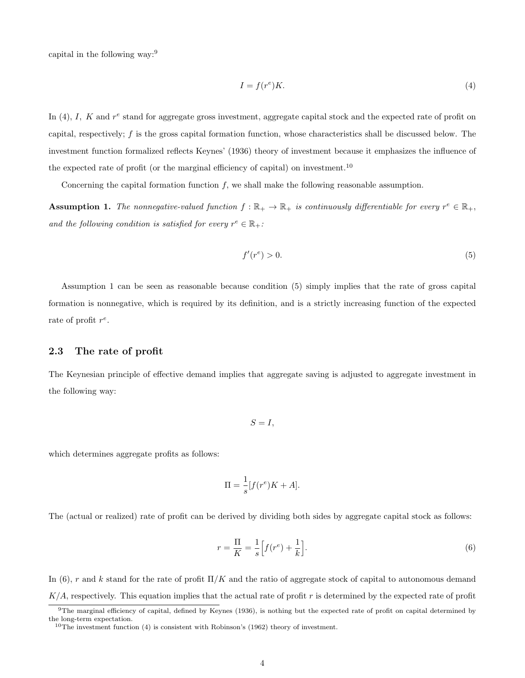capital in the following way:<sup>9</sup>

$$
I = f(r^e)K.\t\t(4)
$$

In (4), I, K and  $r^e$  stand for aggregate gross investment, aggregate capital stock and the expected rate of profit on capital, respectively; f is the gross capital formation function, whose characteristics shall be discussed below. The investment function formalized reflects Keynes' (1936) theory of investment because it emphasizes the influence of the expected rate of profit (or the marginal efficiency of capital) on investment.<sup>10</sup>

Concerning the capital formation function  $f$ , we shall make the following reasonable assumption.

**Assumption 1.** The nonnegative-valued function  $f : \mathbb{R}_+ \to \mathbb{R}_+$  is continuously differentiable for every  $r^e \in \mathbb{R}_+$ , and the following condition is satisfied for every  $r^e \in \mathbb{R}_+$ :

$$
f'(r^e) > 0.\tag{5}
$$

Assumption 1 can be seen as reasonable because condition (5) simply implies that the rate of gross capital formation is nonnegative, which is required by its definition, and is a strictly increasing function of the expected rate of profit  $r^e$ .

#### 2.3 The rate of profit

The Keynesian principle of effective demand implies that aggregate saving is adjusted to aggregate investment in the following way:

$$
S=I,
$$

which determines aggregate profits as follows:

$$
\Pi = \frac{1}{s} [f(r^e)K + A].
$$

The (actual or realized) rate of profit can be derived by dividing both sides by aggregate capital stock as follows:

$$
r = \frac{\Pi}{K} = \frac{1}{s} \left[ f(r^e) + \frac{1}{k} \right].
$$
\n
$$
(6)
$$

In (6), r and k stand for the rate of profit  $\Pi/K$  and the ratio of aggregate stock of capital to autonomous demand  $K/A$ , respectively. This equation implies that the actual rate of profit r is determined by the expected rate of profit

 $9$ The marginal efficiency of capital, defined by Keynes (1936), is nothing but the expected rate of profit on capital determined by the long-term expectation.

 $10$ The investment function (4) is consistent with Robinson's (1962) theory of investment.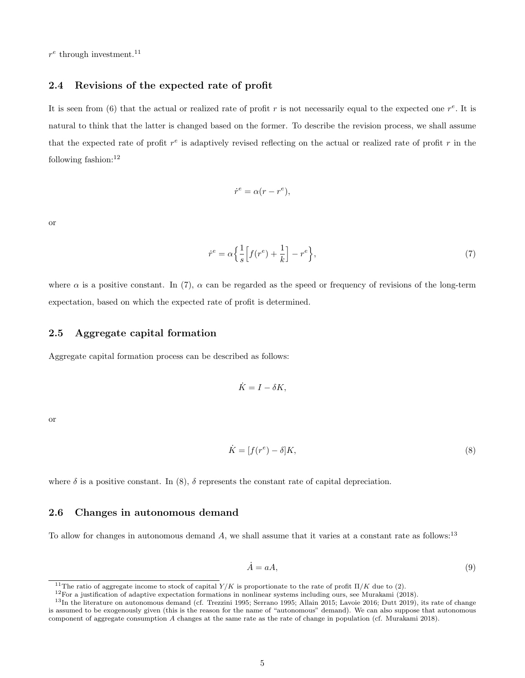$r^e$  through investment.<sup>11</sup>

### 2.4 Revisions of the expected rate of profit

It is seen from (6) that the actual or realized rate of profit r is not necessarily equal to the expected one  $r^e$ . It is natural to think that the latter is changed based on the former. To describe the revision process, we shall assume that the expected rate of profit  $r^e$  is adaptively revised reflecting on the actual or realized rate of profit r in the following fashion:<sup>12</sup>

$$
\dot{r}^e = \alpha(r - r^e),
$$

or

$$
\dot{r}^e = \alpha \left\{ \frac{1}{s} \left[ f(r^e) + \frac{1}{k} \right] - r^e \right\},\tag{7}
$$

where  $\alpha$  is a positive constant. In (7),  $\alpha$  can be regarded as the speed or frequency of revisions of the long-term expectation, based on which the expected rate of profit is determined.

#### 2.5 Aggregate capital formation

Aggregate capital formation process can be described as follows:

$$
\dot{K} = I - \delta K,
$$

or

$$
\dot{K} = [f(r^e) - \delta]K,\tag{8}
$$

where  $\delta$  is a positive constant. In (8),  $\delta$  represents the constant rate of capital depreciation.

### 2.6 Changes in autonomous demand

To allow for changes in autonomous demand  $A$ , we shall assume that it varies at a constant rate as follows:<sup>13</sup>

$$
\dot{A} = aA,\tag{9}
$$

<sup>&</sup>lt;sup>11</sup>The ratio of aggregate income to stock of capital  $Y/K$  is proportionate to the rate of profit  $\Pi/K$  due to (2).

 $12$ For a justification of adaptive expectation formations in nonlinear systems including ours, see Murakami (2018).

<sup>&</sup>lt;sup>13</sup>In the literature on autonomous demand (cf. Trezzini 1995; Serrano 1995; Allain 2015; Lavoie 2016; Dutt 2019), its rate of change is assumed to be exogenously given (this is the reason for the name of "autonomous" demand). We can also suppose that autonomous component of aggregate consumption A changes at the same rate as the rate of change in population (cf. Murakami 2018).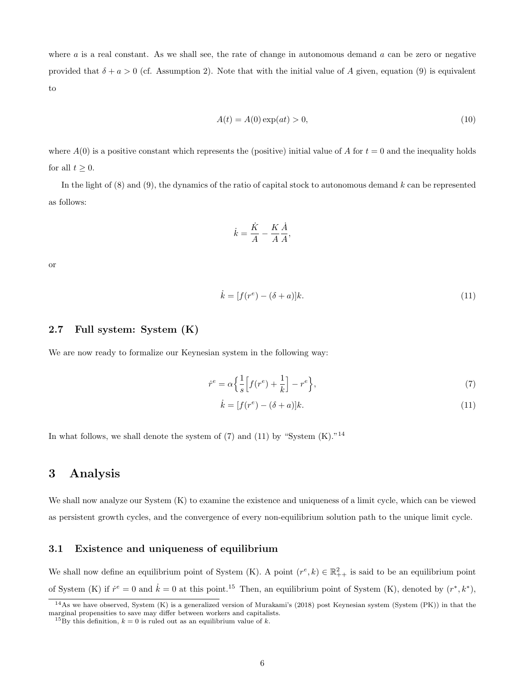where  $a$  is a real constant. As we shall see, the rate of change in autonomous demand  $a$  can be zero or negative provided that  $\delta + a > 0$  (cf. Assumption 2). Note that with the initial value of A given, equation (9) is equivalent to

$$
A(t) = A(0) \exp(at) > 0,\tag{10}
$$

where  $A(0)$  is a positive constant which represents the (positive) initial value of A for  $t = 0$  and the inequality holds for all  $t \geq 0$ .

In the light of  $(8)$  and  $(9)$ , the dynamics of the ratio of capital stock to autonomous demand k can be represented as follows:

$$
\dot{k} = \frac{\dot{K}}{A} - \frac{K}{A} \frac{\dot{A}}{A},
$$

or

$$
\dot{k} = [f(r^e) - (\delta + a)]k. \tag{11}
$$

#### 2.7 Full system: System (K)

We are now ready to formalize our Keynesian system in the following way:

$$
\dot{r}^e = \alpha \left\{ \frac{1}{s} \left[ f(r^e) + \frac{1}{k} \right] - r^e \right\},\tag{7}
$$

$$
\dot{k} = [f(r^e) - (\delta + a)]k. \tag{11}
$$

In what follows, we shall denote the system of  $(7)$  and  $(11)$  by "System  $(K)$ ."<sup>14</sup>

### 3 Analysis

We shall now analyze our System  $(K)$  to examine the existence and uniqueness of a limit cycle, which can be viewed as persistent growth cycles, and the convergence of every non-equilibrium solution path to the unique limit cycle.

### 3.1 Existence and uniqueness of equilibrium

We shall now define an equilibrium point of System (K). A point  $(r^e, k) \in \mathbb{R}^2_{++}$  is said to be an equilibrium point of System (K) if  $\dot{r}^e = 0$  and  $\dot{k} = 0$  at this point.<sup>15</sup> Then, an equilibrium point of System (K), denoted by  $(r^*, k^*)$ ,

 $14$ As we have observed, System (K) is a generalized version of Murakami's (2018) post Keynesian system (System (PK)) in that the marginal propensities to save may differ between workers and capitalists.

<sup>&</sup>lt;sup>15</sup>By this definition,  $k = 0$  is ruled out as an equilibrium value of k.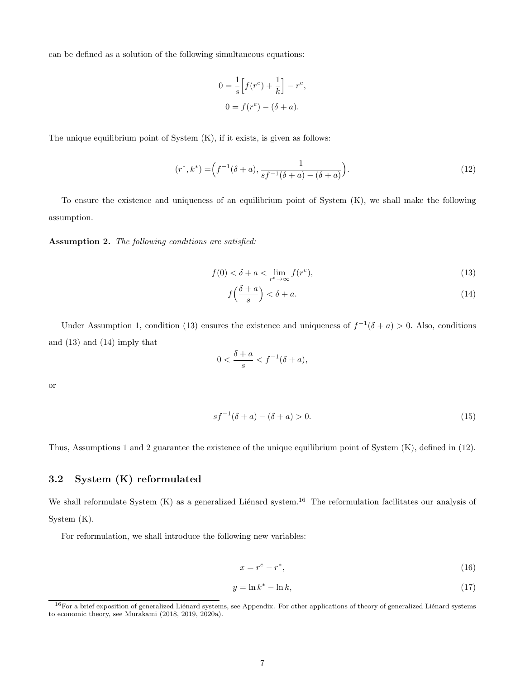can be defined as a solution of the following simultaneous equations:

$$
0 = \frac{1}{s} \left[ f(r^e) + \frac{1}{k} \right] - r^e,
$$
  

$$
0 = f(r^e) - (\delta + a).
$$

The unique equilibrium point of System  $(K)$ , if it exists, is given as follows:

$$
(r^*, k^*) = \left(f^{-1}(\delta + a), \frac{1}{sf^{-1}(\delta + a) - (\delta + a)}\right).
$$
 (12)

To ensure the existence and uniqueness of an equilibrium point of System (K), we shall make the following assumption.

Assumption 2. The following conditions are satisfied:

$$
f(0) < \delta + a < \lim_{r^e \to \infty} f(r^e),\tag{13}
$$

$$
f\left(\frac{\delta+a}{s}\right) < \delta+a.\tag{14}
$$

Under Assumption 1, condition (13) ensures the existence and uniqueness of  $f^{-1}(\delta + a) > 0$ . Also, conditions and (13) and (14) imply that

$$
0 < \frac{\delta + a}{s} < f^{-1}(\delta + a),
$$

or

$$
sf^{-1}(\delta + a) - (\delta + a) > 0.
$$
 (15)

Thus, Assumptions 1 and 2 guarantee the existence of the unique equilibrium point of System (K), defined in (12).

### 3.2 System (K) reformulated

We shall reformulate System  $(K)$  as a generalized Liénard system.<sup>16</sup> The reformulation facilitates our analysis of System (K).

For reformulation, we shall introduce the following new variables:

$$
x = r^e - r^*,\tag{16}
$$

$$
y = \ln k^* - \ln k,\tag{17}
$$

 $16$  For a brief exposition of generalized Liénard systems, see Appendix. For other applications of theory of generalized Liénard systems to economic theory, see Murakami (2018, 2019, 2020a).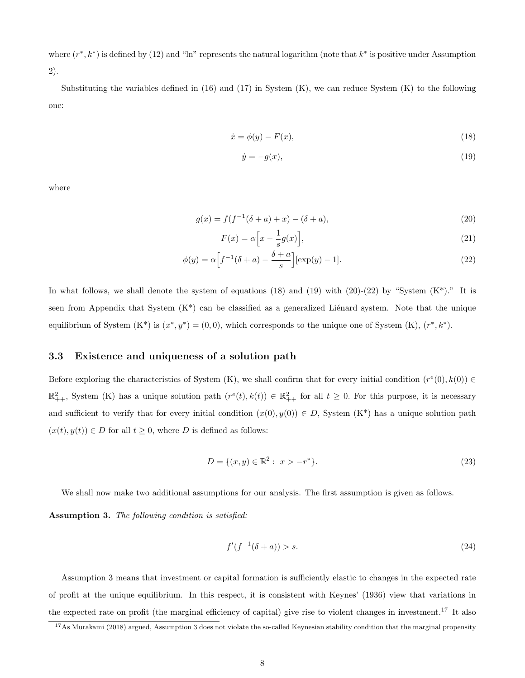where  $(r^*, k^*)$  is defined by (12) and "ln" represents the natural logarithm (note that  $k^*$  is positive under Assumption 2).

Substituting the variables defined in  $(16)$  and  $(17)$  in System  $(K)$ , we can reduce System  $(K)$  to the following one:

$$
\dot{x} = \phi(y) - F(x),\tag{18}
$$

$$
\dot{y} = -g(x),\tag{19}
$$

where

$$
g(x) = f(f^{-1}(\delta + a) + x) - (\delta + a),
$$
\n(20)

$$
F(x) = \alpha \left[ x - \frac{1}{s} g(x) \right],\tag{21}
$$

$$
\phi(y) = \alpha \Big[ f^{-1}(\delta + a) - \frac{\delta + a}{s} \Big] [\exp(y) - 1]. \tag{22}
$$

In what follows, we shall denote the system of equations (18) and (19) with (20)-(22) by "System  $(K^*)$ ." It is seen from Appendix that System  $(K^*)$  can be classified as a generalized Liénard system. Note that the unique equilibrium of System  $(K^*)$  is  $(x^*, y^*) = (0, 0)$ , which corresponds to the unique one of System  $(K)$ ,  $(r^*, k^*)$ .

### 3.3 Existence and uniqueness of a solution path

Before exploring the characteristics of System (K), we shall confirm that for every initial condition  $(r^e(0), k(0)) \in$  $\mathbb{R}^2_{++}$ , System (K) has a unique solution path  $(r^e(t), k(t)) \in \mathbb{R}^2_{++}$  for all  $t \geq 0$ . For this purpose, it is necessary and sufficient to verify that for every initial condition  $(x(0), y(0)) \in D$ , System  $(K^*)$  has a unique solution path  $(x(t), y(t)) \in D$  for all  $t \geq 0$ , where D is defined as follows:

$$
D = \{(x, y) \in \mathbb{R}^2 : x > -r^*\}.
$$
\n(23)

We shall now make two additional assumptions for our analysis. The first assumption is given as follows.

Assumption 3. The following condition is satisfied:

$$
f'(f^{-1}(\delta + a)) > s.
$$
 (24)

Assumption 3 means that investment or capital formation is sufficiently elastic to changes in the expected rate of profit at the unique equilibrium. In this respect, it is consistent with Keynes' (1936) view that variations in the expected rate on profit (the marginal efficiency of capital) give rise to violent changes in investment.<sup>17</sup> It also

<sup>&</sup>lt;sup>17</sup>As Murakami (2018) argued, Assumption 3 does not violate the so-called Keynesian stability condition that the marginal propensity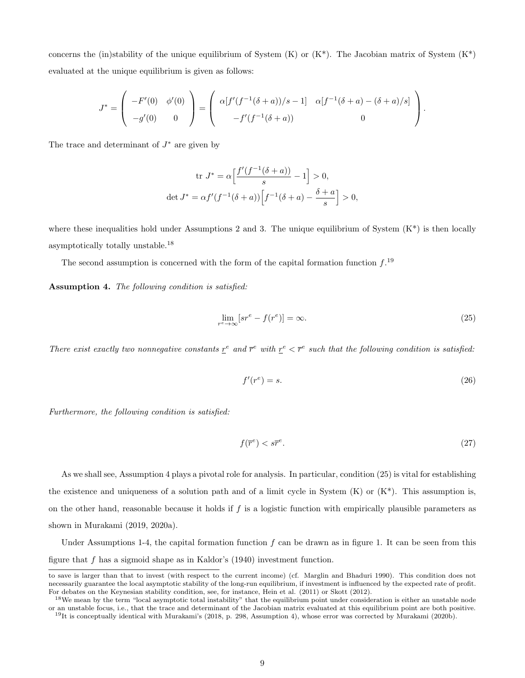concerns the (in)stability of the unique equilibrium of System  $(K)$  or  $(K^*)$ . The Jacobian matrix of System  $(K^*)$ evaluated at the unique equilibrium is given as follows:

$$
J^* = \begin{pmatrix} -F'(0) & \phi'(0) \\ -g'(0) & 0 \end{pmatrix} = \begin{pmatrix} \alpha[f'(f^{-1}(\delta+a))/s - 1] & \alpha[f^{-1}(\delta+a) - (\delta+a)/s] \\ -f'(f^{-1}(\delta+a)) & 0 \end{pmatrix}.
$$

The trace and determinant of  $J^*$  are given by

$$
\operatorname{tr} J^* = \alpha \Big[ \frac{f'(f^{-1}(\delta + a))}{s} - 1 \Big] > 0,
$$
  

$$
\operatorname{det} J^* = \alpha f'(f^{-1}(\delta + a)) \Big[ f^{-1}(\delta + a) - \frac{\delta + a}{s} \Big] > 0,
$$

where these inequalities hold under Assumptions 2 and 3. The unique equilibrium of System  $(K^*)$  is then locally asymptotically totally unstable.<sup>18</sup>

The second assumption is concerned with the form of the capital formation function  $f^{19}$ 

Assumption 4. The following condition is satisfied:

$$
\lim_{r^e \to \infty} [sr^e - f(r^e)] = \infty. \tag{25}
$$

There exist exactly two nonnegative constants  $\underline{r}^e$  and  $\overline{r}^e$  with  $\underline{r}^e < \overline{r}^e$  such that the following condition is satisfied:

$$
f'(r^e) = s. \tag{26}
$$

Furthermore, the following condition is satisfied:

$$
f(\overline{r}^e) < s\overline{r}^e. \tag{27}
$$

As we shall see, Assumption 4 plays a pivotal role for analysis. In particular, condition (25) is vital for establishing the existence and uniqueness of a solution path and of a limit cycle in System  $(K)$  or  $(K^*)$ . This assumption is, on the other hand, reasonable because it holds if  $f$  is a logistic function with empirically plausible parameters as shown in Murakami (2019, 2020a).

Under Assumptions 1-4, the capital formation function f can be drawn as in figure 1. It can be seen from this figure that  $f$  has a sigmoid shape as in Kaldor's  $(1940)$  investment function.

to save is larger than that to invest (with respect to the current income) (cf. Marglin and Bhaduri 1990). This condition does not necessarily guarantee the local asymptotic stability of the long-run equilibrium, if investment is influenced by the expected rate of profit. For debates on the Keynesian stability condition, see, for instance, Hein et al. (2011) or Skott (2012).

<sup>&</sup>lt;sup>18</sup>We mean by the term "local asymptotic total instability" that the equilibrium point under consideration is either an unstable node or an unstable focus, i.e., that the trace and determinant of the Jacobian matrix evaluated at this equilibrium point are both positive.  $19$ It is conceptually identical with Murakami's (2018, p. 298, Assumption 4), whose error was corrected by Murakami (2020b).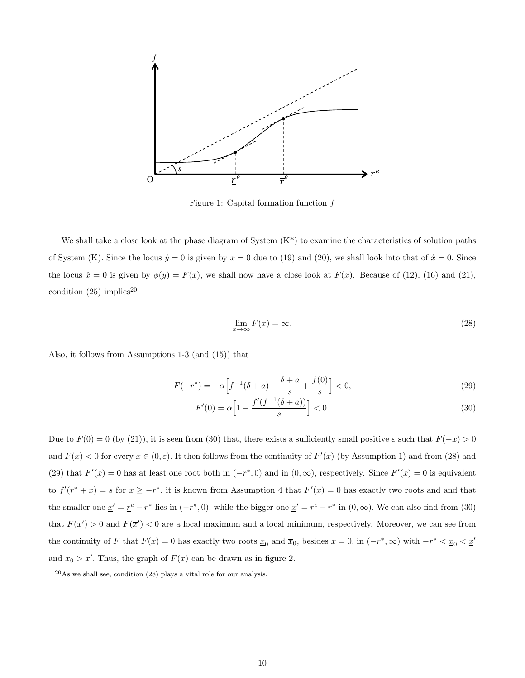

Figure 1: Capital formation function f

We shall take a close look at the phase diagram of System  $(K^*)$  to examine the characteristics of solution paths of System (K). Since the locus  $\dot{y} = 0$  is given by  $x = 0$  due to (19) and (20), we shall look into that of  $\dot{x} = 0$ . Since the locus  $\dot{x} = 0$  is given by  $\phi(y) = F(x)$ , we shall now have a close look at  $F(x)$ . Because of (12), (16) and (21), condition  $(25)$  implies<sup>20</sup>

$$
\lim_{x \to \infty} F(x) = \infty. \tag{28}
$$

Also, it follows from Assumptions 1-3 (and (15)) that

$$
F(-r^*) = -\alpha \Big[ f^{-1}(\delta + a) - \frac{\delta + a}{s} + \frac{f(0)}{s} \Big] < 0,\tag{29}
$$

$$
F'(0) = \alpha \left[ 1 - \frac{f'(f^{-1}(\delta + a))}{s} \right] < 0. \tag{30}
$$

Due to  $F(0) = 0$  (by (21)), it is seen from (30) that, there exists a sufficiently small positive  $\varepsilon$  such that  $F(-x) > 0$ and  $F(x) < 0$  for every  $x \in (0, \varepsilon)$ . It then follows from the continuity of  $F'(x)$  (by Assumption 1) and from (28) and (29) that  $F'(x) = 0$  has at least one root both in  $(-r^*, 0)$  and in  $(0, \infty)$ , respectively. Since  $F'(x) = 0$  is equivalent to  $f'(r^*+x) = s$  for  $x \geq -r^*$ , it is known from Assumption 4 that  $F'(x) = 0$  has exactly two roots and and that the smaller one  $\underline{x}' = \underline{r}^e - r^*$  lies in  $(-r^*, 0)$ , while the bigger one  $\underline{x}' = \overline{r}^e - r^*$  in  $(0, \infty)$ . We can also find from (30) that  $F(\underline{x}') > 0$  and  $F(\overline{x}') < 0$  are a local maximum and a local minimum, respectively. Moreover, we can see from the continuity of F that  $F(x) = 0$  has exactly two roots  $\underline{x}_0$  and  $\overline{x}_0$ , besides  $x = 0$ , in  $(-r^*, \infty)$  with  $-r^* < \underline{x}_0 < \underline{x}'$ and  $\bar{x}_0 > \bar{x}'$ . Thus, the graph of  $F(x)$  can be drawn as in figure 2.

 $^{20}\text{As}$  we shall see, condition (28) plays a vital role for our analysis.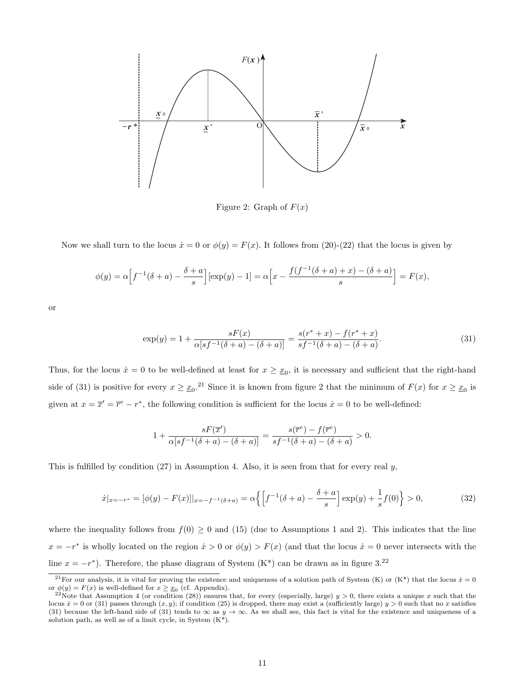

Figure 2: Graph of  $F(x)$ 

Now we shall turn to the locus  $\dot{x} = 0$  or  $\phi(y) = F(x)$ . It follows from (20)-(22) that the locus is given by

$$
\phi(y) = \alpha \Big[ f^{-1}(\delta + a) - \frac{\delta + a}{s} \Big] [\exp(y) - 1] = \alpha \Big[ x - \frac{f(f^{-1}(\delta + a) + x) - (\delta + a)}{s} \Big] = F(x),
$$

or

$$
\exp(y) = 1 + \frac{sF(x)}{\alpha[sf^{-1}(\delta + a) - (\delta + a)]} = \frac{s(r^* + x) - f(r^* + x)}{s f^{-1}(\delta + a) - (\delta + a)}.\tag{31}
$$

Thus, for the locus  $\dot{x} = 0$  to be well-defined at least for  $x \geq x_0$ , it is necessary and sufficient that the right-hand side of (31) is positive for every  $x \geq x_0$ .<sup>21</sup> Since it is known from figure 2 that the minimum of  $F(x)$  for  $x \geq x_0$  is given at  $x = \overline{x}' = \overline{r}^e - r^*$ , the following condition is sufficient for the locus  $\dot{x} = 0$  to be well-defined:

$$
1 + \frac{sF(\overline{x}')}{\alpha[sf^{-1}(\delta + a) - (\delta + a)]} = \frac{s(\overline{r}^e) - f(\overline{r}^e)}{sf^{-1}(\delta + a) - (\delta + a)} > 0.
$$

This is fulfilled by condition  $(27)$  in Assumption 4. Also, it is seen from that for every real y,

$$
\dot{x}|_{x=-r^*} = [\phi(y) - F(x)]|_{x=-f^{-1}(\delta+a)} = \alpha \left\{ \left[ f^{-1}(\delta+a) - \frac{\delta+a}{s} \right] \exp(y) + \frac{1}{s} f(0) \right\} > 0,
$$
\n(32)

where the inequality follows from  $f(0) \ge 0$  and (15) (due to Assumptions 1 and 2). This indicates that the line  $x = -r^*$  is wholly located on the region  $\dot{x} > 0$  or  $\phi(y) > F(x)$  (and that the locus  $\dot{x} = 0$  never intersects with the line  $x = -r^*$ ). Therefore, the phase diagram of System (K<sup>\*</sup>) can be drawn as in figure 3.<sup>22</sup>

<sup>&</sup>lt;sup>21</sup>For our analysis, it is vital for proving the existence and uniqueness of a solution path of System (K) or (K\*) that the locus  $\dot{x} = 0$ or  $\phi(y) = F(x)$  is well-defined for  $x \geq x_0$  (cf. Appendix).

<sup>&</sup>lt;sup>22</sup>Note that Assumption 4 (or condition (28)) ensures that, for every (especially, large)  $y > 0$ , there exists a unique x such that the locus  $\dot{x} = 0$  or (31) passes through  $(x, y)$ ; if condition (25) is dropped, there may exist a (sufficiently large)  $y > 0$  such that no x satisfies (31) because the left-hand side of (31) tends to  $\infty$  as  $y \to \infty$ . As we shall see, this fact is vital for the existence and uniqueness of a solution path, as well as of a limit cycle, in System (K\*).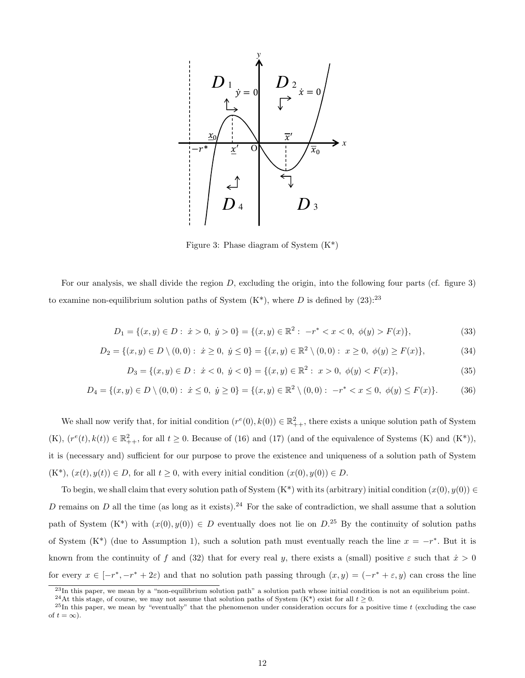

Figure 3: Phase diagram of System  $(K^*)$ 

For our analysis, we shall divide the region  $D$ , excluding the origin, into the following four parts (cf. figure 3) to examine non-equilibrium solution paths of System  $(K^*)$ , where D is defined by  $(23)$ :<sup>23</sup>

$$
D_1 = \{(x, y) \in D : \dot{x} > 0, \dot{y} > 0\} = \{(x, y) \in \mathbb{R}^2 : -r^* < x < 0, \phi(y) > F(x)\},\tag{33}
$$

$$
D_2 = \{(x, y) \in D \setminus (0, 0) : \dot{x} \ge 0, \dot{y} \le 0\} = \{(x, y) \in \mathbb{R}^2 \setminus (0, 0) : x \ge 0, \phi(y) \ge F(x)\},\tag{34}
$$

$$
D_3 = \{(x, y) \in D : \dot{x} < 0, \ \dot{y} < 0\} = \{(x, y) \in \mathbb{R}^2 : \ x > 0, \ \phi(y) < F(x)\},\tag{35}
$$

$$
D_4 = \{(x, y) \in D \setminus (0, 0) : \dot{x} \le 0, \dot{y} \ge 0\} = \{(x, y) \in \mathbb{R}^2 \setminus (0, 0) : -r^* < x \le 0, \phi(y) \le F(x)\}.\tag{36}
$$

We shall now verify that, for initial condition  $(r^e(0), k(0)) \in \mathbb{R}^2_{++}$ , there exists a unique solution path of System  $(K), (r^e(t), k(t)) \in \mathbb{R}^2_{++}$ , for all  $t \geq 0$ . Because of (16) and (17) (and of the equivalence of Systems (K) and (K<sup>\*</sup>)), it is (necessary and) sufficient for our purpose to prove the existence and uniqueness of a solution path of System  $(K^*), (x(t), y(t)) \in D$ , for all  $t \geq 0$ , with every initial condition  $(x(0), y(0)) \in D$ .

To begin, we shall claim that every solution path of System  $(K^*)$  with its (arbitrary) initial condition  $(x(0), y(0)) \in$ D remains on D all the time (as long as it exists).<sup>24</sup> For the sake of contradiction, we shall assume that a solution path of System  $(K^*)$  with  $(x(0), y(0)) \in D$  eventually does not lie on  $D^{25}$  By the continuity of solution paths of System (K<sup>\*</sup>) (due to Assumption 1), such a solution path must eventually reach the line  $x = -r^*$ . But it is known from the continuity of f and (32) that for every real y, there exists a (small) positive  $\varepsilon$  such that  $\dot{x} > 0$ for every  $x \in [-r^*, -r^* + 2\varepsilon]$  and that no solution path passing through  $(x, y) = (-r^* + \varepsilon, y)$  can cross the line

 $^{23}$ In this paper, we mean by a "non-equilibrium solution path" a solution path whose initial condition is not an equilibrium point.

<sup>&</sup>lt;sup>24</sup>At this stage, of course, we may not assume that solution paths of System (K\*) exist for all  $t \geq 0$ .

 $^{25}$ In this paper, we mean by "eventually" that the phenomenon under consideration occurs for a positive time t (excluding the case of  $t = \infty$ ).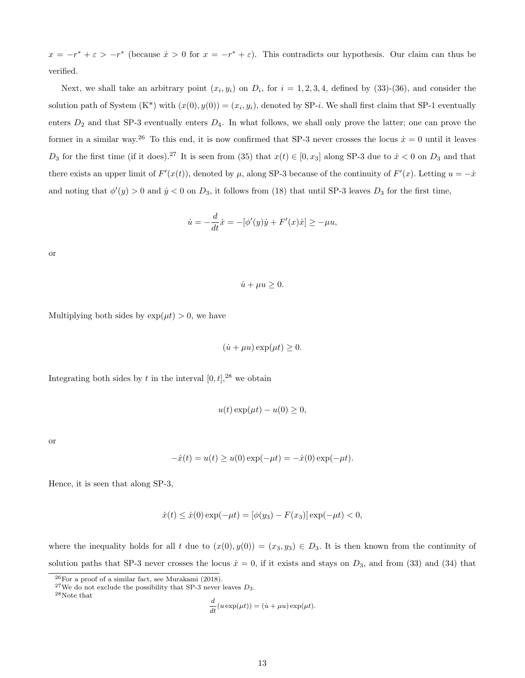$x = -r^* + \varepsilon > -r^*$  (because  $\dot{x} > 0$  for  $x = -r^* + \varepsilon$ ). This contradicts our hypothesis. Our claim can thus be verified.

Next, we shall take an arbitrary point  $(x_i, y_i)$  on  $D_i$ , for  $i = 1, 2, 3, 4$ , defined by  $(33)-(36)$ , and consider the solution path of System  $(K^*)$  with  $(x(0), y(0)) = (x_i, y_i)$ , denoted by SP-*i*. We shall first claim that SP-1 eventually enters  $D_2$  and that SP-3 eventually enters  $D_4$ . In what follows, we shall only prove the latter; one can prove the former in a similar way.<sup>26</sup> To this end, it is now confirmed that SP-3 never crosses the locus  $\dot{x} = 0$  until it leaves  $D_3$  for the first time (if it does).<sup>27</sup> It is seen from (35) that  $x(t) \in [0, x_3]$  along SP-3 due to  $\dot{x} < 0$  on  $D_3$  and that there exists an upper limit of  $F'(x(t))$ , denoted by  $\mu$ , along SP-3 because of the continuity of  $F'(x)$ . Letting  $u = -\dot{x}$ and noting that  $\phi'(y) > 0$  and  $\dot{y} < 0$  on  $D_3$ , it follows from (18) that until SP-3 leaves  $D_3$  for the first time,

$$
\dot{u} = -\frac{d}{dt}\dot{x} = -[\phi'(y)\dot{y} + F'(x)\dot{x}] \ge -\mu u,
$$

or

 $\dot{u} + \mu u \geq 0.$ 

Multiplying both sides by  $\exp(\mu t) > 0$ , we have

$$
(\dot{u} + \mu u) \exp(\mu t) \ge 0.
$$

Integrating both sides by t in the interval  $[0, t]$ ,<sup>28</sup> we obtain

$$
u(t)\exp(\mu t) - u(0) \ge 0,
$$

or

$$
-\dot{x}(t) = u(t) \ge u(0) \exp(-\mu t) = -\dot{x}(0) \exp(-\mu t).
$$

Hence, it is seen that along SP-3,

$$
\dot{x}(t) \le \dot{x}(0) \exp(-\mu t) = [\phi(y_3) - F(x_3)] \exp(-\mu t) < 0,
$$

where the inequality holds for all t due to  $(x(0), y(0)) = (x_3, y_3) \in D_3$ . It is then known from the continuity of solution paths that SP-3 never crosses the locus  $\dot{x} = 0$ , if it exists and stays on  $D_3$ , and from (33) and (34) that

```
\rm ^{28}Note that
```

$$
\frac{d}{dt}(u\exp(\mu t)) = (\dot{u} + \mu u)\exp(\mu t).
$$

 $26$ For a proof of a similar fact, see Murakami (2018).

<sup>&</sup>lt;sup>27</sup>We do not exclude the possibility that SP-3 never leaves  $D_3$ .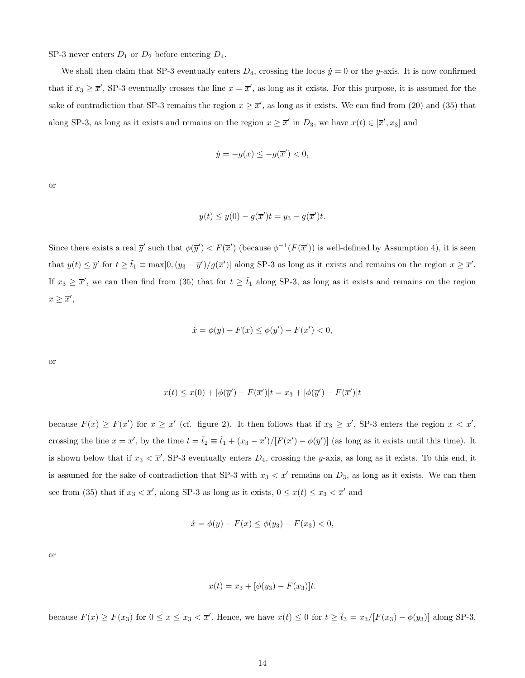SP-3 never enters  $D_1$  or  $D_2$  before entering  $D_4$ .

We shall then claim that SP-3 eventually enters  $D_4$ , crossing the locus  $\dot{y} = 0$  or the y-axis. It is now confirmed that if  $x_3 \geq \overline{x}'$ , SP-3 eventually crosses the line  $x = \overline{x}'$ , as long as it exists. For this purpose, it is assumed for the sake of contradiction that SP-3 remains the region  $x \geq \bar{x}'$ , as long as it exists. We can find from (20) and (35) that along SP-3, as long as it exists and remains on the region  $x \geq \overline{x}'$  in  $D_3$ , we have  $x(t) \in [\overline{x}', x_3]$  and

$$
\dot{y} = -g(x) \le -g(\overline{x}') < 0,
$$

or

$$
y(t) \le y(0) - g(\overline{x}')t = y_3 - g(\overline{x}')t.
$$

Since there exists a real  $\overline{y}'$  such that  $\phi(\overline{y}') < F(\overline{x}')$  (because  $\phi^{-1}(F(\overline{x}'))$  is well-defined by Assumption 4), it is seen that  $y(t) \leq \overline{y}'$  for  $t \geq \tilde{t}_1 \equiv \max[0, (y_3 - \overline{y}')/g(\overline{x}')]$  along SP-3 as long as it exists and remains on the region  $x \geq \overline{x}'$ . If  $x_3 \geq \overline{x}'$ , we can then find from (35) that for  $t \geq \tilde{t}_1$  along SP-3, as long as it exists and remains on the region  $x \geq \overline{x}',$ 

$$
\dot{x} = \phi(y) - F(x) \le \phi(\overline{y}') - F(\overline{x}') < 0,
$$

or

$$
x(t) \le x(0) + [\phi(\overline{y}') - F(\overline{x}')]t = x_3 + [\phi(\overline{y}') - F(\overline{x}')]t
$$

because  $F(x) \geq F(\overline{x}')$  for  $x \geq \overline{x}'$  (cf. figure 2). It then follows that if  $x_3 \geq \overline{x}'$ , SP-3 enters the region  $x < \overline{x}'$ , crossing the line  $x = \overline{x}'$ , by the time  $t = \tilde{t}_2 \equiv \tilde{t}_1 + (x_3 - \overline{x}')/[F(\overline{x}') - \phi(\overline{y}')]$  (as long as it exists until this time). It is shown below that if  $x_3 < \overline{x}'$ , SP-3 eventually enters  $D_4$ , crossing the y-axis, as long as it exists. To this end, it is assumed for the sake of contradiction that SP-3 with  $x_3 < \overline{x}'$  remains on  $D_3$ , as long as it exists. We can then see from (35) that if  $x_3 < \overline{x}'$ , along SP-3 as long as it exists,  $0 \le x(t) \le x_3 < \overline{x}'$  and

$$
\dot{x} = \phi(y) - F(x) \le \phi(y_3) - F(x_3) < 0,
$$

or

$$
x(t) = x_3 + [\phi(y_3) - F(x_3)]t.
$$

because  $F(x) \ge F(x_3)$  for  $0 \le x \le x_3 < \overline{x}'$ . Hence, we have  $x(t) \le 0$  for  $t \ge \tilde{t}_3 = x_3/[F(x_3) - \phi(y_3)]$  along SP-3,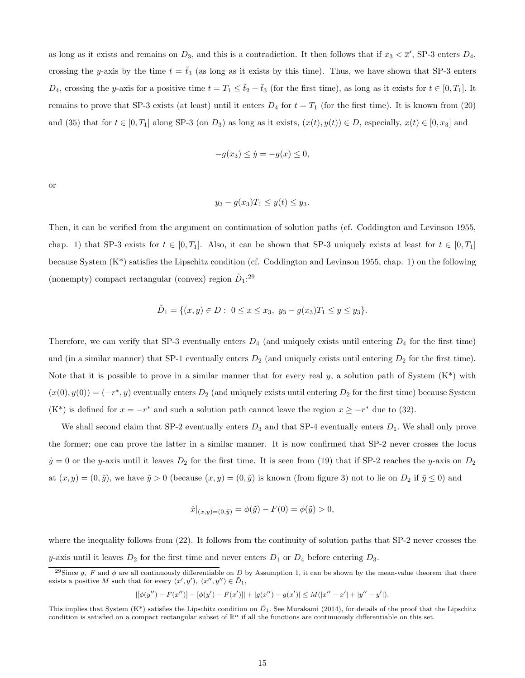as long as it exists and remains on  $D_3$ , and this is a contradiction. It then follows that if  $x_3 < \overline{x}'$ , SP-3 enters  $D_4$ , crossing the y-axis by the time  $t = \tilde{t}_3$  (as long as it exists by this time). Thus, we have shown that SP-3 enters  $D_4$ , crossing the y-axis for a positive time  $t = T_1 \leq \tilde{t}_2 + \tilde{t}_3$  (for the first time), as long as it exists for  $t \in [0, T_1]$ . It remains to prove that SP-3 exists (at least) until it enters  $D_4$  for  $t = T_1$  (for the first time). It is known from (20) and (35) that for  $t \in [0, T_1]$  along SP-3 (on  $D_3$ ) as long as it exists,  $(x(t), y(t)) \in D$ , especially,  $x(t) \in [0, x_3]$  and

$$
-g(x_3) \le \dot{y} = -g(x) \le 0,
$$

or

$$
y_3 - g(x_3)T_1 \leq y(t) \leq y_3.
$$

Then, it can be verified from the argument on continuation of solution paths (cf. Coddington and Levinson 1955, chap. 1) that SP-3 exists for  $t \in [0, T_1]$ . Also, it can be shown that SP-3 uniquely exists at least for  $t \in [0, T_1]$ because System (K\*) satisfies the Lipschitz condition (cf. Coddington and Levinson 1955, chap. 1) on the following (nonempty) compact rectangular (convex) region  $\tilde{D}_1$ :<sup>29</sup>

$$
\tilde{D}_1 = \{ (x, y) \in D : \ 0 \le x \le x_3, \ y_3 - g(x_3)T_1 \le y \le y_3 \}.
$$

Therefore, we can verify that SP-3 eventually enters  $D_4$  (and uniquely exists until entering  $D_4$  for the first time) and (in a similar manner) that SP-1 eventually enters  $D_2$  (and uniquely exists until entering  $D_2$  for the first time). Note that it is possible to prove in a similar manner that for every real  $y$ , a solution path of System  $(K^*)$  with  $(x(0), y(0)) = (-r^*, y)$  eventually enters  $D_2$  (and uniquely exists until entering  $D_2$  for the first time) because System  $(K^*)$  is defined for  $x = -r^*$  and such a solution path cannot leave the region  $x \geq -r^*$  due to (32).

We shall second claim that SP-2 eventually enters  $D_3$  and that SP-4 eventually enters  $D_1$ . We shall only prove the former; one can prove the latter in a similar manner. It is now confirmed that SP-2 never crosses the locus  $\dot{y} = 0$  or the y-axis until it leaves  $D_2$  for the first time. It is seen from (19) that if SP-2 reaches the y-axis on  $D_2$ at  $(x, y) = (0, \tilde{y})$ , we have  $\tilde{y} > 0$  (because  $(x, y) = (0, \tilde{y})$  is known (from figure 3) not to lie on  $D_2$  if  $\tilde{y} \le 0$ ) and

$$
\dot{x}|_{(x,y)=(0,\tilde{y})} = \phi(\tilde{y}) - F(0) = \phi(\tilde{y}) > 0,
$$

where the inequality follows from (22). It follows from the continuity of solution paths that SP-2 never crosses the y-axis until it leaves  $D_2$  for the first time and never enters  $D_1$  or  $D_4$  before entering  $D_3$ .

$$
|[\phi(y'') - F(x'')] - [\phi(y') - F(x')]| + |g(x'') - g(x')| \le M(|x'' - x'| + |y'' - y'|).
$$

<sup>&</sup>lt;sup>29</sup>Since g, F and  $\phi$  are all continuously differentiable on D by Assumption 1, it can be shown by the mean-value theorem that there exists a positive M such that for every  $(x', y')$ ,  $(x'', y'') \in \tilde{D}_1$ ,

This implies that System (K<sup>\*</sup>) satisfies the Lipschitz condition on  $\tilde{D}_1$ . See Murakami (2014), for details of the proof that the Lipschitz condition is satisfied on a compact rectangular subset of  $\mathbb{R}^n$  if all the functions are continuously differentiable on this set.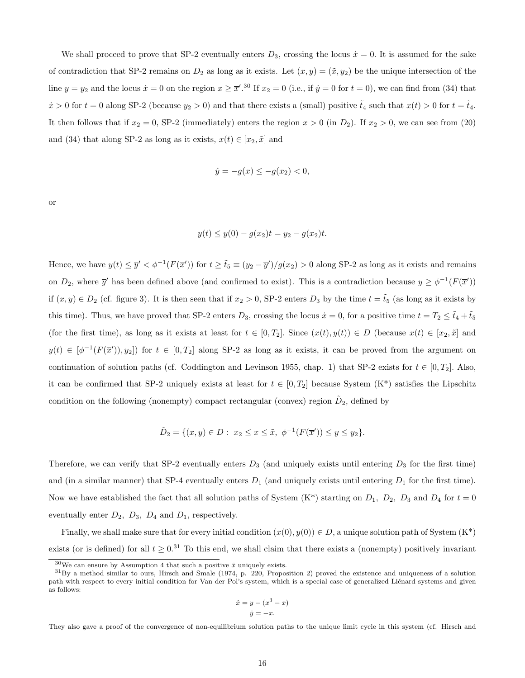We shall proceed to prove that SP-2 eventually enters  $D_3$ , crossing the locus  $\dot{x} = 0$ . It is assumed for the sake of contradiction that SP-2 remains on  $D_2$  as long as it exists. Let  $(x, y) = (\tilde{x}, y_2)$  be the unique intersection of the line  $y = y_2$  and the locus  $\dot{x} = 0$  on the region  $x \ge \overline{x}'$ .<sup>30</sup> If  $x_2 = 0$  (i.e., if  $\dot{y} = 0$  for  $t = 0$ ), we can find from (34) that  $\dot{x} > 0$  for  $t = 0$  along SP-2 (because  $y_2 > 0$ ) and that there exists a (small) positive  $\tilde{t}_4$  such that  $x(t) > 0$  for  $t = \tilde{t}_4$ . It then follows that if  $x_2 = 0$ , SP-2 (immediately) enters the region  $x > 0$  (in  $D_2$ ). If  $x_2 > 0$ , we can see from (20) and (34) that along SP-2 as long as it exists,  $x(t) \in [x_2, \tilde{x}]$  and

$$
\dot{y} = -g(x) \le -g(x_2) < 0,
$$

or

$$
y(t) \le y(0) - g(x_2)t = y_2 - g(x_2)t.
$$

Hence, we have  $y(t) \leq \overline{y}' < \phi^{-1}(F(\overline{x}'))$  for  $t \geq \tilde{t}_5 \equiv (y_2 - \overline{y}')/g(x_2) > 0$  along SP-2 as long as it exists and remains on  $D_2$ , where  $\overline{y}'$  has been defined above (and confirmed to exist). This is a contradiction because  $y \geq \phi^{-1}(F(\overline{x}'))$ if  $(x, y) \in D_2$  (cf. figure 3). It is then seen that if  $x_2 > 0$ , SP-2 enters  $D_3$  by the time  $t = \tilde{t}_5$  (as long as it exists by this time). Thus, we have proved that SP-2 enters  $D_3$ , crossing the locus  $\dot{x} = 0$ , for a positive time  $t = T_2 \leq \tilde{t}_4 + \tilde{t}_5$ (for the first time), as long as it exists at least for  $t \in [0, T_2]$ . Since  $(x(t), y(t)) \in D$  (because  $x(t) \in [x_2, \tilde{x}]$  and  $y(t) \in [\phi^{-1}(F(\overline{x}')), y_2])$  for  $t \in [0, T_2]$  along SP-2 as long as it exists, it can be proved from the argument on continuation of solution paths (cf. Coddington and Levinson 1955, chap. 1) that SP-2 exists for  $t \in [0, T_2]$ . Also, it can be confirmed that SP-2 uniquely exists at least for  $t \in [0, T_2]$  because System  $(K^*)$  satisfies the Lipschitz condition on the following (nonempty) compact rectangular (convex) region  $\tilde{D}_2$ , defined by

$$
\tilde{D}_2 = \{(x, y) \in D : x_2 \le x \le \tilde{x}, \ \phi^{-1}(F(\overline{x}')) \le y \le y_2\}.
$$

Therefore, we can verify that SP-2 eventually enters  $D_3$  (and uniquely exists until entering  $D_3$  for the first time) and (in a similar manner) that SP-4 eventually enters  $D_1$  (and uniquely exists until entering  $D_1$  for the first time). Now we have established the fact that all solution paths of System  $(K^*)$  starting on  $D_1$ ,  $D_2$ ,  $D_3$  and  $D_4$  for  $t = 0$ eventually enter  $D_2$ ,  $D_3$ ,  $D_4$  and  $D_1$ , respectively.

Finally, we shall make sure that for every initial condition  $(x(0), y(0)) \in D$ , a unique solution path of System  $(K^*)$ exists (or is defined) for all  $t \geq 0.31$  To this end, we shall claim that there exists a (nonempty) positively invariant

$$
\dot{x} = y - (x^3 - x)
$$

$$
\dot{y} = -x.
$$

They also gave a proof of the convergence of non-equilibrium solution paths to the unique limit cycle in this system (cf. Hirsch and

<sup>&</sup>lt;sup>30</sup>We can ensure by Assumption 4 that such a positive  $\tilde{x}$  uniquely exists.

 ${}^{31}$ By a method similar to ours, Hirsch and Smale (1974, p. 220, Proposition 2) proved the existence and uniqueness of a solution path with respect to every initial condition for Van der Pol's system, which is a special case of generalized Liénard systems and given as follows: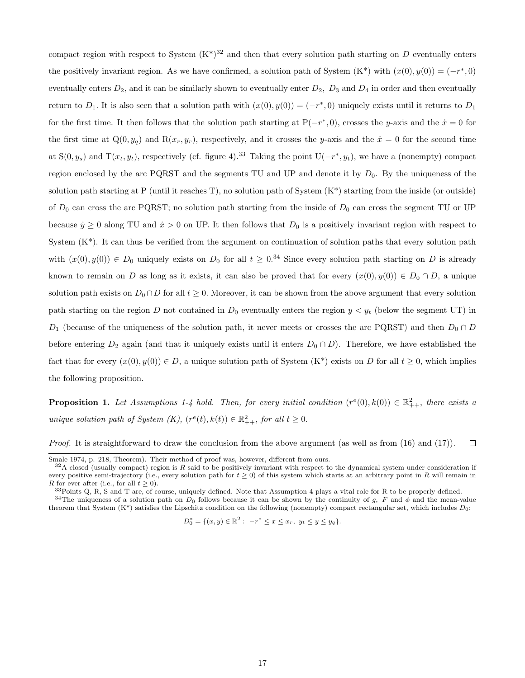compact region with respect to System  $(K^*)^{32}$  and then that every solution path starting on D eventually enters the positively invariant region. As we have confirmed, a solution path of System  $(K^*)$  with  $(x(0), y(0)) = (-r^*, 0)$ eventually enters  $D_2$ , and it can be similarly shown to eventually enter  $D_2$ ,  $D_3$  and  $D_4$  in order and then eventually return to  $D_1$ . It is also seen that a solution path with  $(x(0), y(0)) = (-r^*, 0)$  uniquely exists until it returns to  $D_1$ for the first time. It then follows that the solution path starting at  $P(-r^*, 0)$ , crosses the y-axis and the  $\dot{x} = 0$  for the first time at  $Q(0, y_q)$  and  $R(x_r, y_r)$ , respectively, and it crosses the y-axis and the  $\dot{x} = 0$  for the second time at  $S(0, y_s)$  and  $T(x_t, y_t)$ , respectively (cf. figure 4).<sup>33</sup> Taking the point  $U(-r^*, y_t)$ , we have a (nonempty) compact region enclosed by the arc PQRST and the segments TU and UP and denote it by  $D_0$ . By the uniqueness of the solution path starting at P (until it reaches T), no solution path of System  $(K^*)$  starting from the inside (or outside) of  $D_0$  can cross the arc PQRST; no solution path starting from the inside of  $D_0$  can cross the segment TU or UP because  $\dot{y} \ge 0$  along TU and  $\dot{x} > 0$  on UP. It then follows that  $D_0$  is a positively invariant region with respect to System  $(K^*)$ . It can thus be verified from the argument on continuation of solution paths that every solution path with  $(x(0), y(0)) \in D_0$  uniquely exists on  $D_0$  for all  $t \geq 0.34$  Since every solution path starting on D is already known to remain on D as long as it exists, it can also be proved that for every  $(x(0), y(0)) \in D_0 \cap D$ , a unique solution path exists on  $D_0 \cap D$  for all  $t \geq 0$ . Moreover, it can be shown from the above argument that every solution path starting on the region D not contained in  $D_0$  eventually enters the region  $y < y_t$  (below the segment UT) in  $D_1$  (because of the uniqueness of the solution path, it never meets or crosses the arc PQRST) and then  $D_0 \cap D$ before entering  $D_2$  again (and that it uniquely exists until it enters  $D_0 \cap D$ ). Therefore, we have established the fact that for every  $(x(0), y(0)) \in D$ , a unique solution path of System  $(K^*)$  exists on D for all  $t \geq 0$ , which implies the following proposition.

**Proposition 1.** Let Assumptions 1-4 hold. Then, for every initial condition  $(r^e(0), k(0)) \in \mathbb{R}^2_{++}$ , there exists a unique solution path of System  $(K)$ ,  $(r^e(t), k(t)) \in \mathbb{R}^2_{++}$ , for all  $t \geq 0$ .

*Proof.* It is straightforward to draw the conclusion from the above argument (as well as from  $(16)$  and  $(17)$ ).  $\Box$ 

<sup>34</sup>The uniqueness of a solution path on  $D_0$  follows because it can be shown by the continuity of g, F and  $\phi$  and the mean-value theorem that System  $(K^*)$  satisfies the Lipschitz condition on the following (nonempty) compact rectangular set, which includes  $D_0$ :

 $D_0^* = \{(x, y) \in \mathbb{R}^2 : -r^* \le x \le x_r, y_t \le y \le y_q\}.$ 

Smale 1974, p. 218, Theorem). Their method of proof was, however, different from ours.

 $32A$  closed (usually compact) region is R said to be positively invariant with respect to the dynamical system under consideration if every positive semi-trajectory (i.e., every solution path for  $t \ge 0$ ) of this system which starts at an arbitrary point in R will remain in R for ever after (i.e., for all  $t \geq 0$ ).

 $33$ Points Q, R, S and T are, of course, uniquely defined. Note that Assumption 4 plays a vital role for R to be properly defined.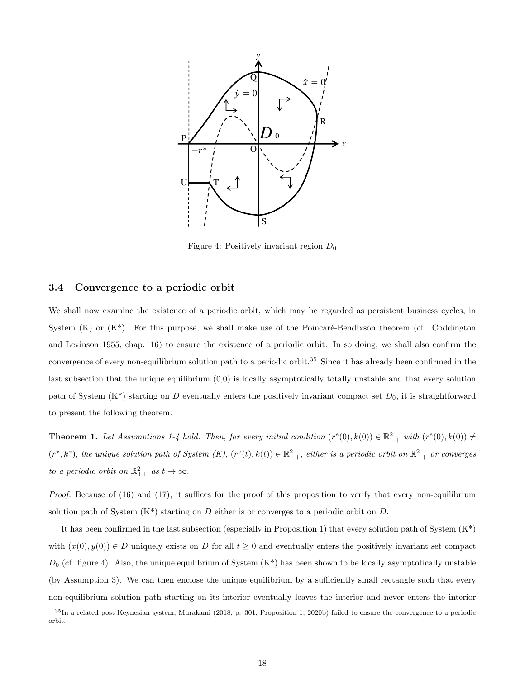

Figure 4: Positively invariant region  $D_0$ 

#### 3.4 Convergence to a periodic orbit

We shall now examine the existence of a periodic orbit, which may be regarded as persistent business cycles, in System  $(K)$  or  $(K^*)$ . For this purpose, we shall make use of the Poincaré-Bendixson theorem (cf. Coddington and Levinson 1955, chap. 16) to ensure the existence of a periodic orbit. In so doing, we shall also confirm the convergence of every non-equilibrium solution path to a periodic orbit.<sup>35</sup> Since it has already been confirmed in the last subsection that the unique equilibrium (0,0) is locally asymptotically totally unstable and that every solution path of System  $(K^*)$  starting on D eventually enters the positively invariant compact set  $D_0$ , it is straightforward to present the following theorem.

**Theorem 1.** Let Assumptions 1-4 hold. Then, for every initial condition  $(r^e(0), k(0)) \in \mathbb{R}^2_{++}$  with  $(r^e(0), k(0)) \neq$  $(r^*, k^*)$ , the unique solution path of System  $(K)$ ,  $(r^e(t), k(t)) \in \mathbb{R}^2_{++}$ , either is a periodic orbit on  $\mathbb{R}^2_{++}$  or converges to a periodic orbit on  $\mathbb{R}^2_{++}$  as  $t \to \infty$ .

Proof. Because of (16) and (17), it suffices for the proof of this proposition to verify that every non-equilibrium solution path of System  $(K^*)$  starting on D either is or converges to a periodic orbit on D.

It has been confirmed in the last subsection (especially in Proposition 1) that every solution path of System  $(K^*)$ with  $(x(0), y(0)) \in D$  uniquely exists on D for all  $t \geq 0$  and eventually enters the positively invariant set compact  $D_0$  (cf. figure 4). Also, the unique equilibrium of System  $(K^*)$  has been shown to be locally asymptotically unstable (by Assumption 3). We can then enclose the unique equilibrium by a sufficiently small rectangle such that every non-equilibrium solution path starting on its interior eventually leaves the interior and never enters the interior

<sup>35</sup>In a related post Keynesian system, Murakami (2018, p. 301, Proposition 1; 2020b) failed to ensure the convergence to a periodic orbit.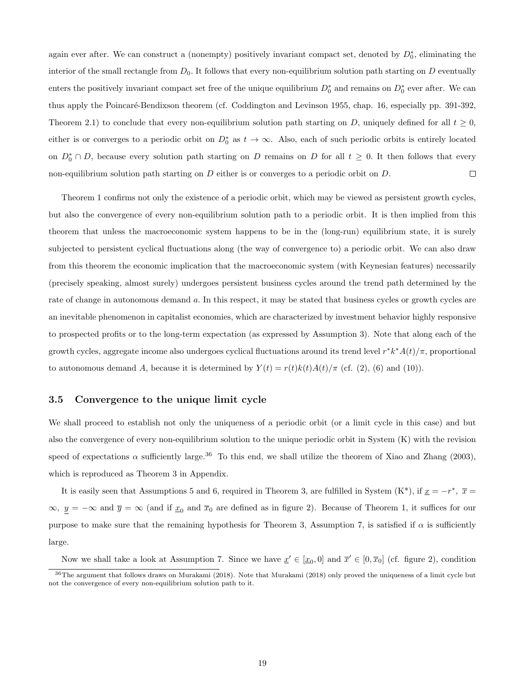again ever after. We can construct a (nonempty) positively invariant compact set, denoted by  $D_0^*$ , eliminating the interior of the small rectangle from  $D_0$ . It follows that every non-equilibrium solution path starting on  $D$  eventually enters the positively invariant compact set free of the unique equilibrium  $D_0^*$  and remains on  $D_0^*$  ever after. We can thus apply the Poincaré-Bendixson theorem (cf. Coddington and Levinson 1955, chap. 16, especially pp. 391-392, Theorem 2.1) to conclude that every non-equilibrium solution path starting on D, uniquely defined for all  $t \geq 0$ , either is or converges to a periodic orbit on  $D_0^*$  as  $t \to \infty$ . Also, each of such periodic orbits is entirely located on  $D_0^* \cap D$ , because every solution path starting on D remains on D for all  $t \geq 0$ . It then follows that every non-equilibrium solution path starting on  $D$  either is or converges to a periodic orbit on  $D$ .  $\Box$ 

Theorem 1 confirms not only the existence of a periodic orbit, which may be viewed as persistent growth cycles, but also the convergence of every non-equilibrium solution path to a periodic orbit. It is then implied from this theorem that unless the macroeconomic system happens to be in the (long-run) equilibrium state, it is surely subjected to persistent cyclical fluctuations along (the way of convergence to) a periodic orbit. We can also draw from this theorem the economic implication that the macroeconomic system (with Keynesian features) necessarily (precisely speaking, almost surely) undergoes persistent business cycles around the trend path determined by the rate of change in autonomous demand a. In this respect, it may be stated that business cycles or growth cycles are an inevitable phenomenon in capitalist economies, which are characterized by investment behavior highly responsive to prospected profits or to the long-term expectation (as expressed by Assumption 3). Note that along each of the growth cycles, aggregate income also undergoes cyclical fluctuations around its trend level  $r^*k^*A(t)/\pi$ , proportional to autonomous demand A, because it is determined by  $Y(t) = r(t)k(t)A(t)/\pi$  (cf. (2), (6) and (10)).

### 3.5 Convergence to the unique limit cycle

We shall proceed to establish not only the uniqueness of a periodic orbit (or a limit cycle in this case) and but also the convergence of every non-equilibrium solution to the unique periodic orbit in System (K) with the revision speed of expectations  $\alpha$  sufficiently large.<sup>36</sup> To this end, we shall utilize the theorem of Xiao and Zhang (2003), which is reproduced as Theorem 3 in Appendix.

It is easily seen that Assumptions 5 and 6, required in Theorem 3, are fulfilled in System  $(K^*),$  if  $\underline{x} = -r^*, \overline{x} =$  $\infty, y = -\infty$  and  $\overline{y} = \infty$  (and if  $\underline{x}_0$  and  $\overline{x}_0$  are defined as in figure 2). Because of Theorem 1, it suffices for our purpose to make sure that the remaining hypothesis for Theorem 3, Assumption 7, is satisfied if  $\alpha$  is sufficiently large.

Now we shall take a look at Assumption 7. Since we have  $\underline{x}' \in [\underline{x}_0, 0]$  and  $\overline{x}' \in [0, \overline{x}_0]$  (cf. figure 2), condition <sup>36</sup>The argument that follows draws on Murakami (2018). Note that Murakami (2018) only proved the uniqueness of a limit cycle but not the convergence of every non-equilibrium solution path to it.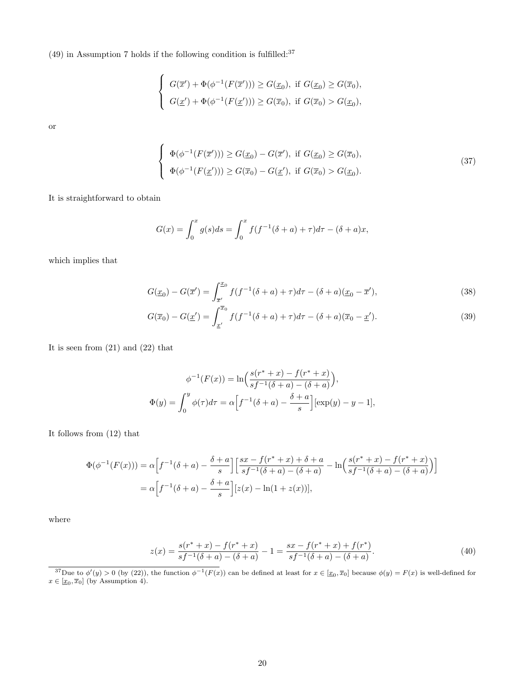(49) in Assumption 7 holds if the following condition is fulfilled: $37$ 

$$
\begin{cases}\nG(\overline{x}') + \Phi(\phi^{-1}(F(\overline{x}'))) \ge G(\underline{x}_0), \text{ if } G(\underline{x}_0) \ge G(\overline{x}_0), \\
G(\underline{x}') + \Phi(\phi^{-1}(F(\underline{x}'))) \ge G(\overline{x}_0), \text{ if } G(\overline{x}_0) > G(\underline{x}_0),\n\end{cases}
$$

or

$$
\begin{cases}\n\Phi(\phi^{-1}(F(\overline{x}'))) \ge G(\underline{x}_0) - G(\overline{x}'), \text{ if } G(\underline{x}_0) \ge G(\overline{x}_0), \\
\Phi(\phi^{-1}(F(\underline{x}'))) \ge G(\overline{x}_0) - G(\underline{x}'), \text{ if } G(\overline{x}_0) > G(\underline{x}_0).\n\end{cases}
$$
\n(37)

It is straightforward to obtain

$$
G(x) = \int_0^x g(s)ds = \int_0^x f(f^{-1}(\delta + a) + \tau)d\tau - (\delta + a)x,
$$

which implies that

$$
G(\underline{x}_0) - G(\overline{x}') = \int_{\overline{x}'}^{\overline{x}_0} f(f^{-1}(\delta + a) + \tau) d\tau - (\delta + a)(\underline{x}_0 - \overline{x}'),
$$
\n(38)

$$
G(\overline{x}_0) - G(\underline{x}') = \int_{\underline{x}'}^{\overline{x}_0} f(f^{-1}(\delta + a) + \tau) d\tau - (\delta + a)(\overline{x}_0 - \underline{x}'). \tag{39}
$$

It is seen from (21) and (22) that

$$
\phi^{-1}(F(x)) = \ln\left(\frac{s(r^* + x) - f(r^* + x)}{sf^{-1}(\delta + a) - (\delta + a)}\right),
$$
  

$$
\Phi(y) = \int_0^y \phi(\tau) d\tau = \alpha \Big[ f^{-1}(\delta + a) - \frac{\delta + a}{s} \Big] [\exp(y) - y - 1],
$$

It follows from (12) that

$$
\Phi(\phi^{-1}(F(x))) = \alpha \Big[ f^{-1}(\delta + a) - \frac{\delta + a}{s} \Big] \Big[ \frac{sx - f(r^* + x) + \delta + a}{sf^{-1}(\delta + a) - (\delta + a)} - \ln \Big( \frac{s(r^* + x) - f(r^* + x)}{sf^{-1}(\delta + a) - (\delta + a)} \Big) \Big]
$$
  
=  $\alpha \Big[ f^{-1}(\delta + a) - \frac{\delta + a}{s} \Big] [z(x) - \ln(1 + z(x))],$ 

where

$$
z(x) = \frac{s(r^* + x) - f(r^* + x)}{sf^{-1}(\delta + a) - (\delta + a)} - 1 = \frac{sx - f(r^* + x) + f(r^*)}{sf^{-1}(\delta + a) - (\delta + a)}.
$$
\n(40)

<sup>37</sup>Due to  $\phi'(y) > 0$  (by (22)), the function  $\phi^{-1}(F(x))$  can be defined at least for  $x \in [\underline{x}_0, \overline{x}_0]$  because  $\phi(y) = F(x)$  is well-defined for  $x \in [\underline{x}_0, \overline{x}_0]$  (by Assumption 4).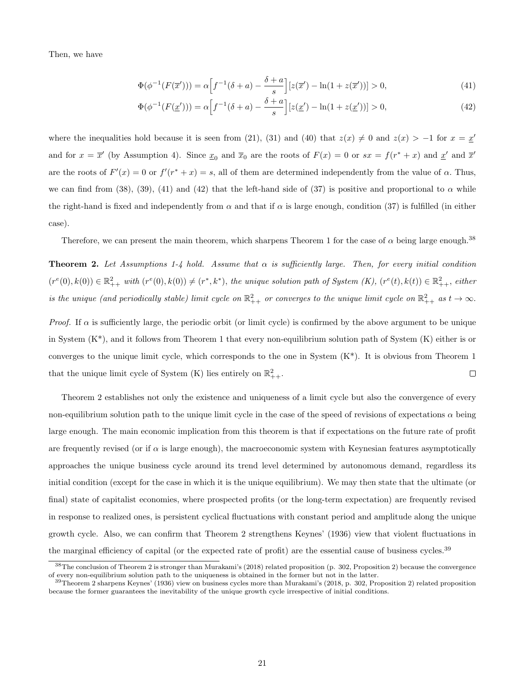Then, we have

$$
\Phi(\phi^{-1}(F(\overline{x}'))) = \alpha \Big[ f^{-1}(\delta + a) - \frac{\delta + a}{s} \Big] [z(\overline{x}') - \ln(1 + z(\overline{x}'))] > 0,
$$
\n(41)

$$
\Phi(\phi^{-1}(F(\underline{x}'))) = \alpha \Big[ f^{-1}(\delta + a) - \frac{\delta + a}{s} \Big] [z(\underline{x}') - \ln(1 + z(\underline{x}'))] > 0,
$$
\n(42)

where the inequalities hold because it is seen from (21), (31) and (40) that  $z(x) \neq 0$  and  $z(x) > -1$  for  $x = \underline{x}'$ and for  $x = \overline{x}'$  (by Assumption 4). Since  $\underline{x}_0$  and  $\overline{x}_0$  are the roots of  $F(x) = 0$  or  $sx = f(r^* + x)$  and  $\underline{x}'$  and  $\overline{x}'$ are the roots of  $F'(x) = 0$  or  $f'(r^* + x) = s$ , all of them are determined independently from the value of  $\alpha$ . Thus, we can find from (38), (39), (41) and (42) that the left-hand side of (37) is positive and proportional to  $\alpha$  while the right-hand is fixed and independently from  $\alpha$  and that if  $\alpha$  is large enough, condition (37) is fulfilled (in either case).

Therefore, we can present the main theorem, which sharpens Theorem 1 for the case of  $\alpha$  being large enough.<sup>38</sup>

**Theorem 2.** Let Assumptions 1-4 hold. Assume that  $\alpha$  is sufficiently large. Then, for every initial condition  $(r^e(0), k(0)) \in \mathbb{R}^2_{++}$  with  $(r^e(0), k(0)) \neq (r^*, k^*)$ , the unique solution path of System  $(K)$ ,  $(r^e(t), k(t)) \in \mathbb{R}^2_{++}$ , either is the unique (and periodically stable) limit cycle on  $\mathbb{R}^2_{++}$  or converges to the unique limit cycle on  $\mathbb{R}^2_{++}$  as  $t \to \infty$ .

*Proof.* If  $\alpha$  is sufficiently large, the periodic orbit (or limit cycle) is confirmed by the above argument to be unique in System  $(K^*)$ , and it follows from Theorem 1 that every non-equilibrium solution path of System  $(K)$  either is or converges to the unique limit cycle, which corresponds to the one in System (K\*). It is obvious from Theorem 1 that the unique limit cycle of System (K) lies entirely on  $\mathbb{R}^2_{++}$ .  $\Box$ 

Theorem 2 establishes not only the existence and uniqueness of a limit cycle but also the convergence of every non-equilibrium solution path to the unique limit cycle in the case of the speed of revisions of expectations  $\alpha$  being large enough. The main economic implication from this theorem is that if expectations on the future rate of profit are frequently revised (or if  $\alpha$  is large enough), the macroeconomic system with Keynesian features asymptotically approaches the unique business cycle around its trend level determined by autonomous demand, regardless its initial condition (except for the case in which it is the unique equilibrium). We may then state that the ultimate (or final) state of capitalist economies, where prospected profits (or the long-term expectation) are frequently revised in response to realized ones, is persistent cyclical fluctuations with constant period and amplitude along the unique growth cycle. Also, we can confirm that Theorem 2 strengthens Keynes' (1936) view that violent fluctuations in the marginal efficiency of capital (or the expected rate of profit) are the essential cause of business cycles.<sup>39</sup>

<sup>38</sup>The conclusion of Theorem 2 is stronger than Murakami's (2018) related proposition (p. 302, Proposition 2) because the convergence of every non-equilibrium solution path to the uniqueness is obtained in the former but not in the latter.

 $39$ Theorem 2 sharpens Keynes' (1936) view on business cycles more than Murakami's (2018, p. 302, Proposition 2) related proposition because the former guarantees the inevitability of the unique growth cycle irrespective of initial conditions.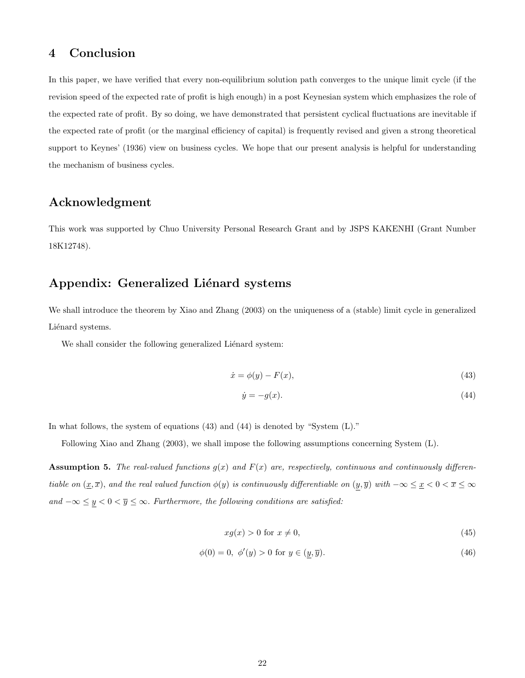## 4 Conclusion

In this paper, we have verified that every non-equilibrium solution path converges to the unique limit cycle (if the revision speed of the expected rate of profit is high enough) in a post Keynesian system which emphasizes the role of the expected rate of profit. By so doing, we have demonstrated that persistent cyclical fluctuations are inevitable if the expected rate of profit (or the marginal efficiency of capital) is frequently revised and given a strong theoretical support to Keynes' (1936) view on business cycles. We hope that our present analysis is helpful for understanding the mechanism of business cycles.

### Acknowledgment

This work was supported by Chuo University Personal Research Grant and by JSPS KAKENHI (Grant Number 18K12748).

# Appendix: Generalized Liénard systems

We shall introduce the theorem by Xiao and Zhang (2003) on the uniqueness of a (stable) limit cycle in generalized Liénard systems.

We shall consider the following generalized Liénard system:

$$
\dot{x} = \phi(y) - F(x),\tag{43}
$$

$$
\dot{y} = -g(x). \tag{44}
$$

In what follows, the system of equations (43) and (44) is denoted by "System (L)."

Following Xiao and Zhang (2003), we shall impose the following assumptions concerning System (L).

**Assumption 5.** The real-valued functions  $g(x)$  and  $F(x)$  are, respectively, continuous and continuously differentiable on  $(\underline{x}, \overline{x})$ , and the real valued function  $\phi(y)$  is continuously differentiable on  $(\underline{y}, \overline{y})$  with  $-\infty \le \underline{x} < 0 < \overline{x} \le \infty$ and  $-\infty \le y < 0 < \overline{y} \le \infty$ . Furthermore, the following conditions are satisfied:

$$
xg(x) > 0 \text{ for } x \neq 0,\tag{45}
$$

$$
\phi(0) = 0, \ \phi'(y) > 0 \text{ for } y \in (y, \overline{y}).\tag{46}
$$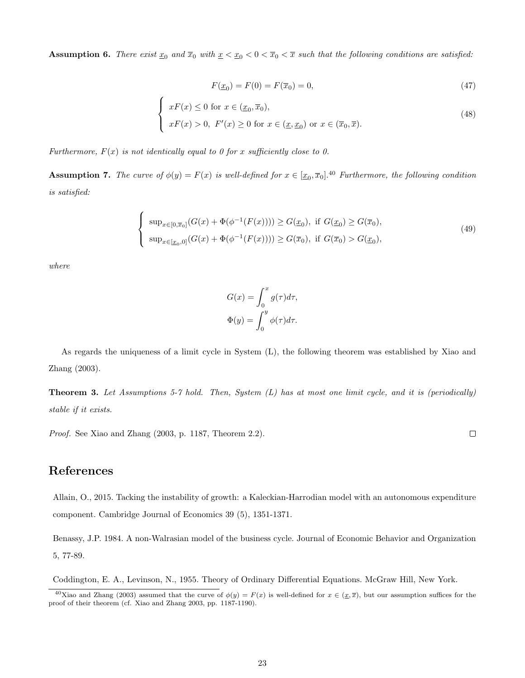**Assumption 6.** There exist  $\underline{x}_0$  and  $\overline{x}_0$  with  $\underline{x} < \underline{x}_0 < 0 < \overline{x}_0 < \overline{x}$  such that the following conditions are satisfied:

$$
F(\underline{x}_0) = F(0) = F(\overline{x}_0) = 0,\t\t(47)
$$

$$
\begin{cases}\nxF(x) \le 0 \text{ for } x \in (\underline{x}_0, \overline{x}_0), \\
xF(x) > 0, \ F'(x) \ge 0 \text{ for } x \in (\underline{x}, \underline{x}_0) \text{ or } x \in (\overline{x}_0, \overline{x}).\n\end{cases}
$$
\n(48)

Furthermore,  $F(x)$  is not identically equal to 0 for x sufficiently close to 0.

 $\epsilon$ 

**Assumption 7.** The curve of  $\phi(y) = F(x)$  is well-defined for  $x \in [\underline{x}_0, \overline{x}_0]$ .<sup>40</sup> Furthermore, the following condition is satisfied:

$$
\begin{cases} \sup_{x \in [0,\overline{x}_0]} (G(x) + \Phi(\phi^{-1}(F(x)))) \ge G(\underline{x}_0), \text{ if } G(\underline{x}_0) \ge G(\overline{x}_0), \\ \sup_{x \in [\underline{x}_0,0]} (G(x) + \Phi(\phi^{-1}(F(x)))) \ge G(\overline{x}_0), \text{ if } G(\overline{x}_0) > G(\underline{x}_0), \end{cases} \tag{49}
$$

where

$$
G(x) = \int_0^x g(\tau) d\tau,
$$
  

$$
\Phi(y) = \int_0^y \phi(\tau) d\tau.
$$

As regards the uniqueness of a limit cycle in System (L), the following theorem was established by Xiao and Zhang (2003).

**Theorem 3.** Let Assumptions 5-7 hold. Then, System  $(L)$  has at most one limit cycle, and it is (periodically) stable if it exists.

Proof. See Xiao and Zhang (2003, p. 1187, Theorem 2.2).

# References

Allain, O., 2015. Tacking the instability of growth: a Kaleckian-Harrodian model with an autonomous expenditure component. Cambridge Journal of Economics 39 (5), 1351-1371.

Benassy, J.P. 1984. A non-Walrasian model of the business cycle. Journal of Economic Behavior and Organization 5, 77-89.

Coddington, E. A., Levinson, N., 1955. Theory of Ordinary Differential Equations. McGraw Hill, New York.

 $\Box$ 

<sup>&</sup>lt;sup>40</sup>Xiao and Zhang (2003) assumed that the curve of  $\phi(y) = F(x)$  is well-defined for  $x \in (x, \overline{x})$ , but our assumption suffices for the proof of their theorem (cf. Xiao and Zhang 2003, pp. 1187-1190).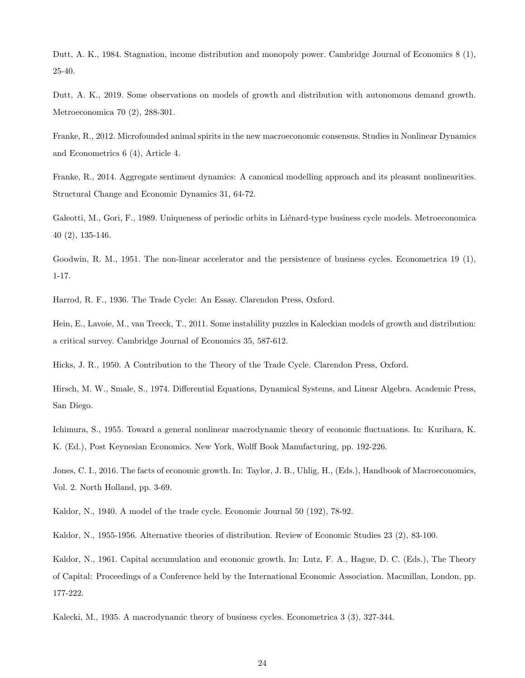Dutt, A. K., 1984. Stagnation, income distribution and monopoly power. Cambridge Journal of Economics 8 (1), 25-40.

Dutt, A. K., 2019. Some observations on models of growth and distribution with autonomous demand growth. Metroeconomica 70 (2), 288-301.

Franke, R., 2012. Microfounded animal spirits in the new macroeconomic consensus. Studies in Nonlinear Dynamics and Econometrics 6 (4), Article 4.

Franke, R., 2014. Aggregate sentiment dynamics: A canonical modelling approach and its pleasant nonlinearities. Structural Change and Economic Dynamics 31, 64-72.

Galeotti, M., Gori, F., 1989. Uniqueness of periodic orbits in Liénard-type business cycle models. Metroeconomica 40 (2), 135-146.

Goodwin, R. M., 1951. The non-linear accelerator and the persistence of business cycles. Econometrica 19 (1), 1-17.

Harrod, R. F., 1936. The Trade Cycle: An Essay. Clarendon Press, Oxford.

Hein, E., Lavoie, M., van Treeck, T., 2011. Some instability puzzles in Kaleckian models of growth and distribution: a critical survey. Cambridge Journal of Economics 35, 587-612.

Hicks, J. R., 1950. A Contribution to the Theory of the Trade Cycle. Clarendon Press, Oxford.

Hirsch, M. W., Smale, S., 1974. Differential Equations, Dynamical Systems, and Linear Algebra. Academic Press, San Diego.

Ichimura, S., 1955. Toward a general nonlinear macrodynamic theory of economic fluctuations. In: Kurihara, K. K. (Ed.), Post Keynesian Economics. New York, Wolff Book Manufacturing, pp. 192-226.

Jones, C. I., 2016. The facts of economic growth. In: Taylor, J. B., Uhlig, H., (Eds.), Handbook of Macroeconomics, Vol. 2. North Holland, pp. 3-69.

Kaldor, N., 1940. A model of the trade cycle. Economic Journal 50 (192), 78-92.

Kaldor, N., 1955-1956. Alternative theories of distribution. Review of Economic Studies 23 (2), 83-100.

Kaldor, N., 1961. Capital accumulation and economic growth. In: Lutz, F. A., Hague, D. C. (Eds.), The Theory of Capital: Proceedings of a Conference held by the International Economic Association. Macmillan, London, pp. 177-222.

Kalecki, M., 1935. A macrodynamic theory of business cycles. Econometrica 3 (3), 327-344.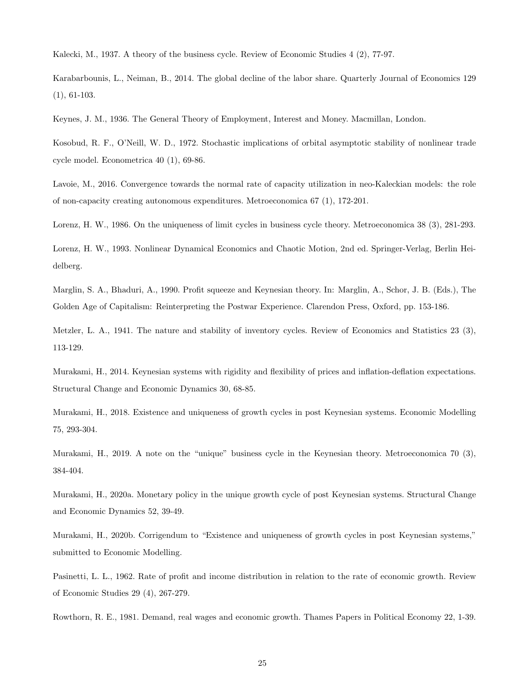Kalecki, M., 1937. A theory of the business cycle. Review of Economic Studies 4 (2), 77-97.

Karabarbounis, L., Neiman, B., 2014. The global decline of the labor share. Quarterly Journal of Economics 129 (1), 61-103.

Keynes, J. M., 1936. The General Theory of Employment, Interest and Money. Macmillan, London.

Kosobud, R. F., O'Neill, W. D., 1972. Stochastic implications of orbital asymptotic stability of nonlinear trade cycle model. Econometrica 40 (1), 69-86.

Lavoie, M., 2016. Convergence towards the normal rate of capacity utilization in neo-Kaleckian models: the role of non-capacity creating autonomous expenditures. Metroeconomica 67 (1), 172-201.

Lorenz, H. W., 1986. On the uniqueness of limit cycles in business cycle theory. Metroeconomica 38 (3), 281-293.

Lorenz, H. W., 1993. Nonlinear Dynamical Economics and Chaotic Motion, 2nd ed. Springer-Verlag, Berlin Heidelberg.

Marglin, S. A., Bhaduri, A., 1990. Profit squeeze and Keynesian theory. In: Marglin, A., Schor, J. B. (Eds.), The Golden Age of Capitalism: Reinterpreting the Postwar Experience. Clarendon Press, Oxford, pp. 153-186.

Metzler, L. A., 1941. The nature and stability of inventory cycles. Review of Economics and Statistics 23 (3), 113-129.

Murakami, H., 2014. Keynesian systems with rigidity and flexibility of prices and inflation-deflation expectations. Structural Change and Economic Dynamics 30, 68-85.

Murakami, H., 2018. Existence and uniqueness of growth cycles in post Keynesian systems. Economic Modelling 75, 293-304.

Murakami, H., 2019. A note on the "unique" business cycle in the Keynesian theory. Metroeconomica 70 (3), 384-404.

Murakami, H., 2020a. Monetary policy in the unique growth cycle of post Keynesian systems. Structural Change and Economic Dynamics 52, 39-49.

Murakami, H., 2020b. Corrigendum to "Existence and uniqueness of growth cycles in post Keynesian systems," submitted to Economic Modelling.

Pasinetti, L. L., 1962. Rate of profit and income distribution in relation to the rate of economic growth. Review of Economic Studies 29 (4), 267-279.

Rowthorn, R. E., 1981. Demand, real wages and economic growth. Thames Papers in Political Economy 22, 1-39.